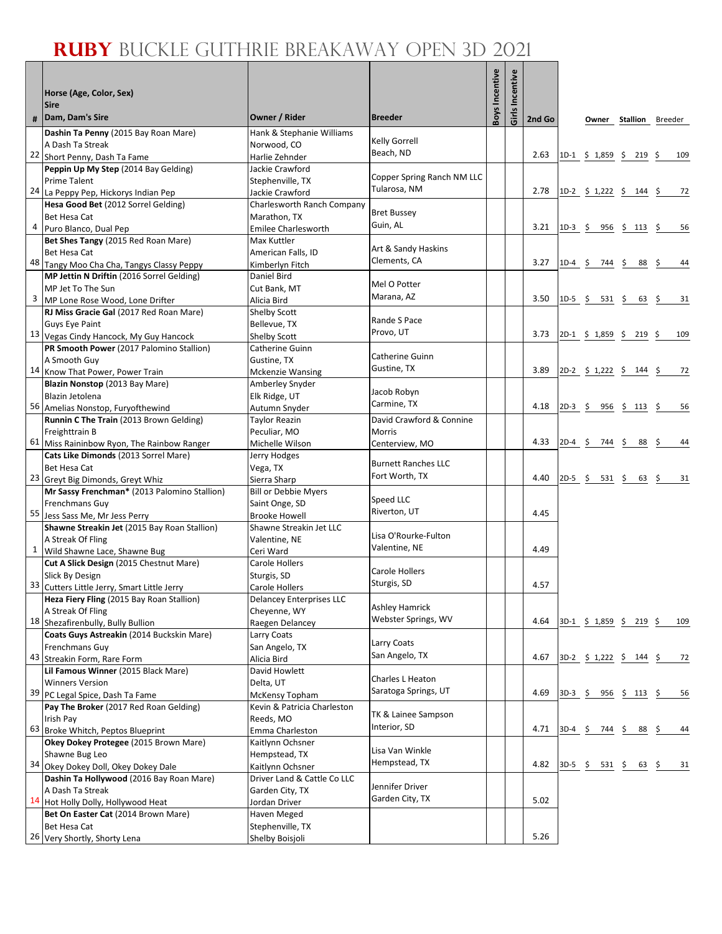Г

|              | Horse (Age, Color, Sex)                                                                                                                    |                                                                             |                                                      | Boys Incentive | Girls Incentive |        |           |                                                          |                |            |
|--------------|--------------------------------------------------------------------------------------------------------------------------------------------|-----------------------------------------------------------------------------|------------------------------------------------------|----------------|-----------------|--------|-----------|----------------------------------------------------------|----------------|------------|
| #            | <b>Sire</b><br>Dam, Dam's Sire                                                                                                             | Owner / Rider                                                               | <b>Breeder</b>                                       |                |                 | 2nd Go |           | Owner                                                    | Stallion       | Breeder    |
|              | Dashin Ta Penny (2015 Bay Roan Mare)<br>A Dash Ta Streak<br>22 Short Penny, Dash Ta Fame                                                   | Hank & Stephanie Williams<br>Norwood, CO<br>Harlie Zehnder                  | <b>Kelly Gorrell</b><br>Beach, ND                    |                |                 | 2.63   |           | $1D-1 \t5 1,859 \t5 219 \t5$                             |                | 109        |
|              | Peppin Up My Step (2014 Bay Gelding)<br><b>Prime Talent</b><br>24 La Peppy Pep, Hickorys Indian Pep                                        | Jackie Crawford<br>Stephenville, TX<br>Jackie Crawford                      | Copper Spring Ranch NM LLC<br>Tularosa, NM           |                |                 | 2.78   |           | 1D-2 \$ 1,222 \$ 144 \$                                  |                | 72         |
| 4            | Hesa Good Bet (2012 Sorrel Gelding)<br><b>Bet Hesa Cat</b><br>Puro Blanco, Dual Pep                                                        | Charlesworth Ranch Company<br>Marathon, TX<br><b>Emilee Charlesworth</b>    | <b>Bret Bussey</b><br>Guin, AL                       |                |                 | 3.21   |           |                                                          |                | 56         |
|              | Bet Shes Tangy (2015 Red Roan Mare)<br><b>Bet Hesa Cat</b><br>48 Tangy Moo Cha Cha, Tangys Classy Peppy                                    | Max Kuttler<br>American Falls, ID<br>Kimberlyn Fitch                        | Art & Sandy Haskins<br>Clements, CA                  |                |                 | 3.27   | $1D-4$ \$ | 744 \$                                                   | 88             | -\$<br>44  |
| 3            | MP Jettin N Driftin (2016 Sorrel Gelding)<br>MP Jet To The Sun<br>MP Lone Rose Wood, Lone Drifter                                          | Daniel Bird<br>Cut Bank, MT<br>Alicia Bird                                  | Mel O Potter<br>Marana, AZ                           |                |                 | 3.50   | $1D-5$ \$ | 531 \$                                                   | 63             | 31<br>- \$ |
|              | RJ Miss Gracie Gal (2017 Red Roan Mare)<br><b>Guys Eye Paint</b><br>13 Vegas Cindy Hancock, My Guy Hancock                                 | <b>Shelby Scott</b><br>Bellevue, TX<br>Shelby Scott                         | Rande S Pace<br>Provo, UT                            |                |                 | 3.73   |           | $2D-1$ \$ 1,859 \$ 219 \$                                |                | 109        |
|              | PR Smooth Power (2017 Palomino Stallion)<br>A Smooth Guy<br>14 Know That Power, Power Train                                                | Catherine Guinn<br>Gustine, TX<br><b>Mckenzie Wansing</b>                   | Catherine Guinn<br>Gustine, TX                       |                |                 | 3.89   |           | 2D-2 $\frac{1}{2}$ 1,222 $\frac{1}{2}$ 144 $\frac{1}{2}$ |                | 72         |
|              | Blazin Nonstop (2013 Bay Mare)<br>Blazin Jetolena<br>56 Amelias Nonstop, Furyofthewind                                                     | Amberley Snyder<br>Elk Ridge, UT<br>Autumn Snyder                           | Jacob Robyn<br>Carmine, TX                           |                |                 | 4.18   | $2D-3$ \$ |                                                          | $956 \div 113$ | -\$<br>56  |
|              | Runnin C The Train (2013 Brown Gelding)<br>Freighttrain B<br>61 Miss Raininbow Ryon, The Rainbow Ranger                                    | Taylor Reazin<br>Peculiar, MO<br>Michelle Wilson                            | David Crawford & Connine<br>Morris<br>Centerview, MO |                |                 | 4.33   | $2D-4$ \$ | 744                                                      | \$<br>88       | -\$<br>44  |
|              | Cats Like Dimonds (2013 Sorrel Mare)<br><b>Bet Hesa Cat</b><br>23 Greyt Big Dimonds, Greyt Whiz                                            | Jerry Hodges<br>Vega, TX<br>Sierra Sharp                                    | <b>Burnett Ranches LLC</b><br>Fort Worth, TX         |                |                 | 4.40   |           | $2D-5$ \$ 531 \$ 63 \$                                   |                | 31         |
|              | Mr Sassy Frenchman* (2013 Palomino Stallion)<br>Frenchmans Guy<br>55 Jess Sass Me, Mr Jess Perry                                           | <b>Bill or Debbie Myers</b><br>Saint Onge, SD<br><b>Brooke Howell</b>       | Speed LLC<br>Riverton, UT                            |                |                 | 4.45   |           |                                                          |                |            |
| $\mathbf{1}$ | Shawne Streakin Jet (2015 Bay Roan Stallion)<br>A Streak Of Fling<br>Wild Shawne Lace, Shawne Bug                                          | Shawne Streakin Jet LLC<br>Valentine, NE<br>Ceri Ward                       | Lisa O'Rourke-Fulton<br>Valentine, NE                |                |                 | 4.49   |           |                                                          |                |            |
|              | Cut A Slick Design (2015 Chestnut Mare)<br>Slick By Design<br>33 Cutters Little Jerry, Smart Little Jerry                                  | Carole Hollers<br>Sturgis, SD<br>Carole Hollers                             | Carole Hollers<br>Sturgis, SD                        |                |                 | 4.57   |           |                                                          |                |            |
|              | Heza Fiery Fling (2015 Bay Roan Stallion)<br>A Streak Of Fling<br>18 Shezafirenbully, Bully Bullion                                        | <b>Delancey Enterprises LLC</b><br>Cheyenne, WY<br>Raegen Delancey          | Ashley Hamrick<br>Webster Springs, WV                |                |                 | 4.64   |           | 3D-1 \$ 1,859 \$ 219 \$                                  |                | 109        |
|              | Coats Guys Astreakin (2014 Buckskin Mare)<br><b>Frenchmans Guy</b><br>43 Streakin Form, Rare Form                                          | Larry Coats<br>San Angelo, TX<br>Alicia Bird                                | Larry Coats<br>San Angelo, TX                        |                |                 | 4.67   |           | $3D-2$ \$ 1,222 \$ 144 \$                                |                | 72         |
|              | Lil Famous Winner (2015 Black Mare)<br><b>Winners Version</b><br>39 PC Legal Spice, Dash Ta Fame<br>Pay The Broker (2017 Red Roan Gelding) | David Howlett<br>Delta, UT<br>McKensy Topham<br>Kevin & Patricia Charleston | Charles L Heaton<br>Saratoga Springs, UT             |                |                 | 4.69   |           | 3D-3 \$ 956 \$ 113 \$                                    |                | 56         |
|              | Irish Pay<br>63 Broke Whitch, Peptos Blueprint<br>Okey Dokey Protegee (2015 Brown Mare)                                                    | Reeds, MO<br>Emma Charleston                                                | TK & Lainee Sampson<br>Interior, SD                  |                |                 | 4.71   |           | $3D-4$ \$ 744 \$ 88 \$                                   |                | 44         |
|              | Shawne Bug Leo<br>34 Okey Dokey Doll, Okey Dokey Dale                                                                                      | Kaitlynn Ochsner<br>Hempstead, TX<br>Kaitlynn Ochsner                       | Lisa Van Winkle<br>Hempstead, TX                     |                |                 | 4.82   |           | $3D-5$ \$ 531 \$ 63 \$                                   |                | 31         |
|              | Dashin Ta Hollywood (2016 Bay Roan Mare)<br>A Dash Ta Streak<br>14 Hot Holly Dolly, Hollywood Heat                                         | Driver Land & Cattle Co LLC<br>Garden City, TX<br>Jordan Driver             | Jennifer Driver<br>Garden City, TX                   |                |                 | 5.02   |           |                                                          |                |            |
|              | Bet On Easter Cat (2014 Brown Mare)<br>Bet Hesa Cat<br>26 Very Shortly, Shorty Lena                                                        | Haven Meged<br>Stephenville, TX<br>Shelby Boisjoli                          |                                                      |                |                 | 5.26   |           |                                                          |                |            |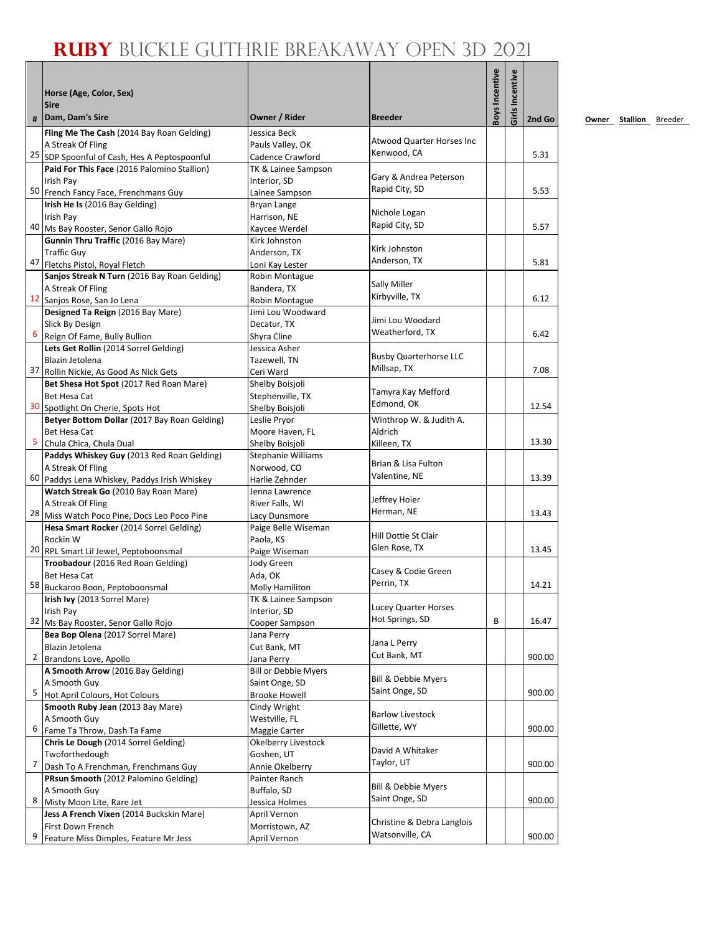| #  | Horse (Age, Color, Sex)<br><b>Sire</b><br>Dam, Dam's Sire             | Owner / Rider                  | <b>Breeder</b>                          | <b>Boys Incentive</b> | Girls Incentive | 2nd Go |
|----|-----------------------------------------------------------------------|--------------------------------|-----------------------------------------|-----------------------|-----------------|--------|
|    | Fling Me The Cash (2014 Bay Roan Gelding)                             | Jessica Beck                   |                                         |                       |                 |        |
|    | A Streak Of Fling                                                     | Pauls Valley, OK               | <b>Atwood Quarter Horses Inc</b>        |                       |                 |        |
| 25 | SDP Spoonful of Cash, Hes A Peptospoonful                             | Cadence Crawford               | Kenwood, CA                             |                       |                 | 5.31   |
|    | Paid For This Face (2016 Palomino Stallion)                           | TK & Lainee Sampson            |                                         |                       |                 |        |
|    | Irish Pay                                                             | Interior, SD                   | Gary & Andrea Peterson                  |                       |                 |        |
|    | 50 French Fancy Face, Frenchmans Guy                                  | Lainee Sampson                 | Rapid City, SD                          |                       |                 | 5.53   |
|    | Irish He Is (2016 Bay Gelding)                                        | Bryan Lange                    |                                         |                       |                 |        |
|    | <b>Irish Pav</b>                                                      | Harrison, NE                   | Nichole Logan                           |                       |                 |        |
|    | 40 Ms Bay Rooster, Senor Gallo Rojo                                   | Kaycee Werdel                  | Rapid City, SD                          |                       |                 | 5.57   |
|    | Gunnin Thru Traffic (2016 Bay Mare)                                   | Kirk Johnston                  |                                         |                       |                 |        |
|    | <b>Traffic Guy</b>                                                    | Anderson, TX                   | Kirk Johnston                           |                       |                 |        |
|    | 47 Fletchs Pistol, Royal Fletch                                       | Loni Kay Lester                | Anderson, TX                            |                       |                 | 5.81   |
|    | Sanjos Streak N Turn (2016 Bay Roan Gelding)                          | Robin Montague                 |                                         |                       |                 |        |
|    | A Streak Of Fling                                                     | Bandera, TX                    | Sally Miller                            |                       |                 |        |
|    | 12 Sanjos Rose, San Jo Lena                                           | Robin Montague                 | Kirbyville, TX                          |                       |                 | 6.12   |
|    | Designed Ta Reign (2016 Bay Mare)                                     | Jimi Lou Woodward              |                                         |                       |                 |        |
|    | Slick By Design                                                       | Decatur, TX                    | Jimi Lou Woodard                        |                       |                 |        |
| 6  | Reign Of Fame, Bully Bullion                                          | Shyra Cline                    | Weatherford, TX                         |                       |                 | 6.42   |
|    | Lets Get Rollin (2014 Sorrel Gelding)                                 | Jessica Asher                  |                                         |                       |                 |        |
|    | Blazin Jetolena                                                       | Tazewell, TN                   | <b>Busby Quarterhorse LLC</b>           |                       |                 |        |
|    | 37 Rollin Nickie, As Good As Nick Gets                                | Ceri Ward                      | Millsap, TX                             |                       |                 | 7.08   |
|    | Bet Shesa Hot Spot (2017 Red Roan Mare)                               | Shelby Boisjoli                |                                         |                       |                 |        |
|    | <b>Bet Hesa Cat</b>                                                   | Stephenville, TX               | Tamyra Kay Mefford                      |                       |                 |        |
|    | 30 Spotlight On Cherie, Spots Hot                                     | Shelby Boisjoli                | Edmond, OK                              |                       |                 | 12.54  |
|    | Betyer Bottom Dollar (2017 Bay Roan Gelding)                          | Leslie Pryor                   | Winthrop W. & Judith A.                 |                       |                 |        |
|    | Bet Hesa Cat                                                          | Moore Haven, FL                | Aldrich                                 |                       |                 |        |
| 5  | Chula Chica, Chula Dual                                               | Shelby Boisjoli                | Killeen, TX                             |                       |                 | 13.30  |
|    | Paddys Whiskey Guy (2013 Red Roan Gelding)                            | <b>Stephanie Williams</b>      |                                         |                       |                 |        |
|    | A Streak Of Fling                                                     | Norwood, CO                    | Brian & Lisa Fulton                     |                       |                 |        |
| 60 | Paddys Lena Whiskey, Paddys Irish Whiskey                             | Harlie Zehnder                 | Valentine, NE                           |                       |                 | 13.39  |
|    | Watch Streak Go (2010 Bay Roan Mare)                                  | Jenna Lawrence                 |                                         |                       |                 |        |
|    | A Streak Of Fling                                                     | River Falls, WI                | Jeffrey Hoier                           |                       |                 |        |
|    | 28 Miss Watch Poco Pine, Docs Leo Poco Pine                           | Lacy Dunsmore                  | Herman, NE                              |                       |                 | 13.43  |
|    | Hesa Smart Rocker (2014 Sorrel Gelding)                               | Paige Belle Wiseman            |                                         |                       |                 |        |
|    | Rockin W                                                              | Paola, KS                      | Hill Dottie St Clair                    |                       |                 |        |
|    | 20 RPL Smart Lil Jewel, Peptoboonsmal                                 | Paige Wiseman                  | Glen Rose, TX                           |                       |                 | 13.45  |
|    | Troobadour (2016 Red Roan Gelding)                                    | Jody Green                     |                                         |                       |                 |        |
|    | Bet Hesa Cat                                                          | Ada, OK                        | Casey & Codie Green                     |                       |                 |        |
|    | 58 Buckaroo Boon, Peptoboonsmal                                       | Molly Hamiliton                | Perrin, TX                              |                       |                 | 14.21  |
|    | Irish Ivy (2013 Sorrel Mare)                                          | TK & Lainee Sampson            |                                         |                       |                 |        |
|    | Irish Pay                                                             | Interior, SD                   | Lucey Quarter Horses<br>Hot Springs, SD |                       |                 |        |
|    | 32 Ms Bay Rooster, Senor Gallo Rojo                                   | Cooper Sampson                 |                                         | B                     |                 | 16.47  |
|    | Bea Bop Olena (2017 Sorrel Mare)                                      | Jana Perry                     | Jana L Perry                            |                       |                 |        |
|    | Blazin Jetolena                                                       | Cut Bank, MT                   | Cut Bank, MT                            |                       |                 |        |
| 2  | Brandons Love, Apollo                                                 | Jana Perry                     |                                         |                       |                 | 900.00 |
|    | A Smooth Arrow (2016 Bay Gelding)                                     | <b>Bill or Debbie Myers</b>    | Bill & Debbie Myers                     |                       |                 |        |
| 5  | A Smooth Guy                                                          | Saint Onge, SD                 | Saint Onge, SD                          |                       |                 | 900.00 |
|    | Hot April Colours, Hot Colours                                        | <b>Brooke Howell</b>           |                                         |                       |                 |        |
|    | Smooth Ruby Jean (2013 Bay Mare)                                      | Cindy Wright                   | <b>Barlow Livestock</b>                 |                       |                 |        |
| 6  | A Smooth Guy                                                          | Westville, FL                  | Gillette, WY                            |                       |                 | 900.00 |
|    | Fame Ta Throw, Dash Ta Fame<br>Chris Le Dough (2014 Sorrel Gelding)   | Maggie Carter                  |                                         |                       |                 |        |
|    |                                                                       | Okelberry Livestock            | David A Whitaker                        |                       |                 |        |
| 7  | Twoforthedough                                                        | Goshen, UT                     | Taylor, UT                              |                       |                 | 900.00 |
|    | Dash To A Frenchman, Frenchmans Guy                                   | Annie Okelberry                |                                         |                       |                 |        |
|    | PRsun Smooth (2012 Palomino Gelding)                                  | Painter Ranch                  | Bill & Debbie Myers                     |                       |                 |        |
| 8  | A Smooth Guy                                                          | Buffalo, SD                    | Saint Onge, SD                          |                       |                 | 900.00 |
|    | Misty Moon Lite, Rare Jet<br>Jess A French Vixen (2014 Buckskin Mare) | Jessica Holmes<br>April Vernon |                                         |                       |                 |        |
|    | First Down French                                                     | Morristown, AZ                 | Christine & Debra Langlois              |                       |                 |        |
| 9  | Feature Miss Dimples, Feature Mr Jess                                 | April Vernon                   | Watsonville, CA                         |                       |                 | 900.00 |
|    |                                                                       |                                |                                         |                       |                 |        |

**<u>Owner</u> Stallion Breeder**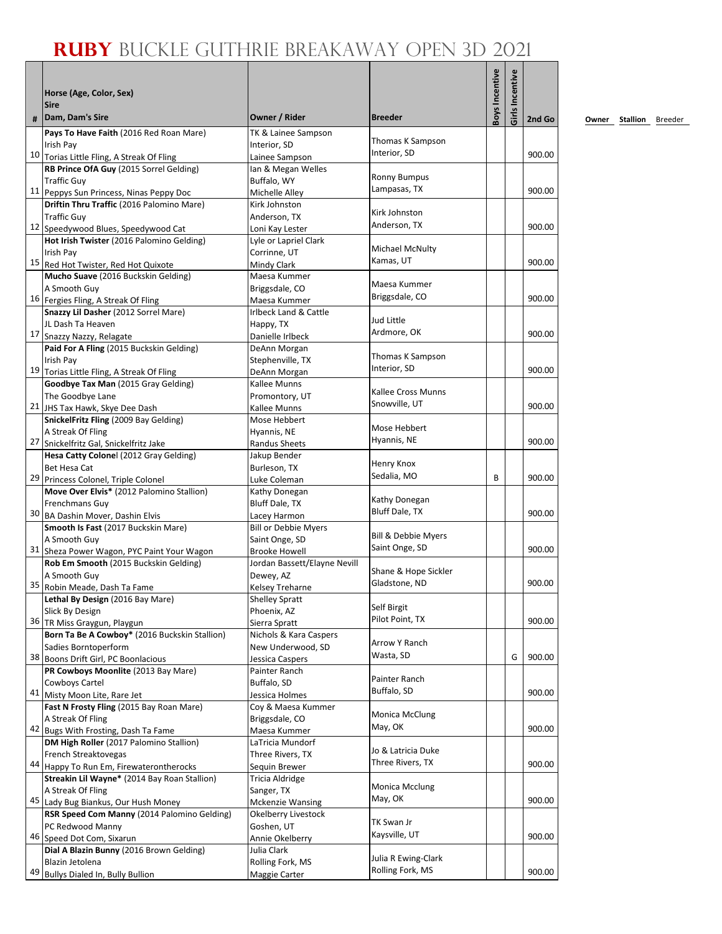|    | Horse (Age, Color, Sex)<br><b>Sire</b>                                               |                                                      |                           | Boys Incentive | Girls Incentive |        |
|----|--------------------------------------------------------------------------------------|------------------------------------------------------|---------------------------|----------------|-----------------|--------|
| #  | Dam, Dam's Sire                                                                      | Owner / Rider                                        | <b>Breeder</b>            |                |                 | 2nd Go |
|    | Pays To Have Faith (2016 Red Roan Mare)                                              | TK & Lainee Sampson                                  | Thomas K Sampson          |                |                 |        |
|    | Irish Pay                                                                            | Interior, SD                                         | Interior, SD              |                |                 | 900.00 |
|    | 10 Torias Little Fling, A Streak Of Fling<br>RB Prince OfA Guy (2015 Sorrel Gelding) | Lainee Sampson<br>Ian & Megan Welles                 |                           |                |                 |        |
|    | <b>Traffic Guy</b>                                                                   | Buffalo, WY                                          | <b>Ronny Bumpus</b>       |                |                 |        |
|    | 11 Peppys Sun Princess, Ninas Peppy Doc                                              | Michelle Alley                                       | Lampasas, TX              |                |                 | 900.00 |
|    | Driftin Thru Traffic (2016 Palomino Mare)                                            | Kirk Johnston                                        |                           |                |                 |        |
|    | <b>Traffic Guy</b>                                                                   | Anderson, TX                                         | Kirk Johnston             |                |                 |        |
|    | 12 Speedywood Blues, Speedywood Cat                                                  | Loni Kay Lester                                      | Anderson, TX              |                |                 | 900.00 |
|    | Hot Irish Twister (2016 Palomino Gelding)                                            | Lyle or Lapriel Clark                                | Michael McNulty           |                |                 |        |
|    | Irish Pay<br>15 Red Hot Twister, Red Hot Quixote                                     | Corrinne, UT<br>Mindy Clark                          | Kamas, UT                 |                |                 | 900.00 |
|    | Mucho Suave (2016 Buckskin Gelding)                                                  | Maesa Kummer                                         |                           |                |                 |        |
|    | A Smooth Guy                                                                         | Briggsdale, CO                                       | Maesa Kummer              |                |                 |        |
|    | 16 Fergies Fling, A Streak Of Fling                                                  | Maesa Kummer                                         | Briggsdale, CO            |                |                 | 900.00 |
|    | Snazzy Lil Dasher (2012 Sorrel Mare)                                                 | Irlbeck Land & Cattle                                | Jud Little                |                |                 |        |
|    | JL Dash Ta Heaven                                                                    | Happy, TX                                            | Ardmore, OK               |                |                 | 900.00 |
|    | 17 Snazzy Nazzy, Relagate                                                            | Danielle Irlbeck                                     |                           |                |                 |        |
|    | Paid For A Fling (2015 Buckskin Gelding)<br>Irish Pay                                | DeAnn Morgan<br>Stephenville, TX                     | Thomas K Sampson          |                |                 |        |
|    | 19 Torias Little Fling, A Streak Of Fling                                            | DeAnn Morgan                                         | Interior, SD              |                |                 | 900.00 |
|    | Goodbye Tax Man (2015 Gray Gelding)                                                  | Kallee Munns                                         |                           |                |                 |        |
|    | The Goodbye Lane                                                                     | Promontory, UT                                       | <b>Kallee Cross Munns</b> |                |                 |        |
|    | 21 JHS Tax Hawk, Skye Dee Dash                                                       | Kallee Munns                                         | Snowville, UT             |                |                 | 900.00 |
|    | SnickelFritz Fling (2009 Bay Gelding)                                                | Mose Hebbert                                         | Mose Hebbert              |                |                 |        |
| 27 | A Streak Of Fling                                                                    | Hyannis, NE                                          | Hyannis, NE               |                |                 | 900.00 |
|    | Snickelfritz Gal, Snickelfritz Jake<br>Hesa Catty Colonel (2012 Gray Gelding)        | <b>Randus Sheets</b><br>Jakup Bender                 |                           |                |                 |        |
|    | Bet Hesa Cat                                                                         | Burleson, TX                                         | Henry Knox                |                |                 |        |
| 29 | Princess Colonel, Triple Colonel                                                     | Luke Coleman                                         | Sedalia, MO               | B              |                 | 900.00 |
|    | Move Over Elvis* (2012 Palomino Stallion)                                            | Kathy Donegan                                        |                           |                |                 |        |
|    | Frenchmans Guy                                                                       | Bluff Dale, TX                                       | Kathy Donegan             |                |                 |        |
|    | 30 BA Dashin Mover, Dashin Elvis                                                     | Lacey Harmon                                         | Bluff Dale, TX            |                |                 | 900.00 |
|    | Smooth Is Fast (2017 Buckskin Mare)                                                  | <b>Bill or Debbie Myers</b>                          | Bill & Debbie Myers       |                |                 |        |
|    | A Smooth Guy                                                                         | Saint Onge, SD                                       | Saint Onge, SD            |                |                 | 900.00 |
|    | 31 Sheza Power Wagon, PYC Paint Your Wagon<br>Rob Em Smooth (2015 Buckskin Gelding)  | <b>Brooke Howell</b><br>Jordan Bassett/Elayne Nevill |                           |                |                 |        |
|    | A Smooth Guy                                                                         | Dewey, AZ                                            | Shane & Hope Sickler      |                |                 |        |
| 35 | Robin Meade, Dash Ta Fame                                                            | Kelsey Treharne                                      | Gladstone, ND             |                |                 | 900.00 |
|    | Lethal By Design (2016 Bay Mare)                                                     | Shelley Spratt                                       |                           |                |                 |        |
|    | Slick By Design                                                                      | Phoenix, AZ                                          | Self Birgit               |                |                 |        |
|    | 36 TR Miss Graygun, Playgun                                                          | Sierra Spratt                                        | Pilot Point, TX           |                |                 | 900.00 |
|    | Born Ta Be A Cowboy* (2016 Buckskin Stallion)                                        | Nichols & Kara Caspers                               | Arrow Y Ranch             |                |                 |        |
|    | Sadies Borntoperform<br>38 Boons Drift Girl, PC Boonlacious                          | New Underwood, SD                                    | Wasta, SD                 |                | G               | 900.00 |
|    | PR Cowboys Moonlite (2013 Bay Mare)                                                  | Jessica Caspers<br>Painter Ranch                     |                           |                |                 |        |
|    | Cowboys Cartel                                                                       | Buffalo, SD                                          | Painter Ranch             |                |                 |        |
|    | 41 Misty Moon Lite, Rare Jet                                                         | Jessica Holmes                                       | Buffalo, SD               |                |                 | 900.00 |
|    | Fast N Frosty Fling (2015 Bay Roan Mare)                                             | Coy & Maesa Kummer                                   |                           |                |                 |        |
|    | A Streak Of Fling                                                                    | Briggsdale, CO                                       | Monica McClung<br>May, OK |                |                 |        |
|    | 42 Bugs With Frosting, Dash Ta Fame                                                  | Maesa Kummer                                         |                           |                |                 | 900.00 |
|    | DM High Roller (2017 Palomino Stallion)                                              | LaTricia Mundorf                                     | Jo & Latricia Duke        |                |                 |        |
| 44 | French Streaktovegas<br>Happy To Run Em, Firewaterontherocks                         | Three Rivers, TX<br>Sequin Brewer                    | Three Rivers, TX          |                |                 | 900.00 |
|    | Streakin Lil Wayne* (2014 Bay Roan Stallion)                                         | Tricia Aldridge                                      |                           |                |                 |        |
|    | A Streak Of Fling                                                                    | Sanger, TX                                           | Monica Mcclung            |                |                 |        |
|    | 45 Lady Bug Biankus, Our Hush Money                                                  | <b>Mckenzie Wansing</b>                              | May, OK                   |                |                 | 900.00 |
|    | RSR Speed Com Manny (2014 Palomino Gelding)                                          | Okelberry Livestock                                  |                           |                |                 |        |
|    | PC Redwood Manny                                                                     | Goshen, UT                                           | TK Swan Jr                |                |                 |        |
|    | 46 Speed Dot Com, Sixarun                                                            | Annie Okelberry                                      | Kaysville, UT             |                |                 | 900.00 |
|    | Dial A Blazin Bunny (2016 Brown Gelding)                                             | Julia Clark                                          | Julia R Ewing-Clark       |                |                 |        |
| 49 | Blazin Jetolena<br>Bullys Dialed In, Bully Bullion                                   | Rolling Fork, MS<br>Maggie Carter                    | Rolling Fork, MS          |                |                 | 900.00 |
|    |                                                                                      |                                                      |                           |                |                 |        |

**2nd Go Owner Stallion** Breeder